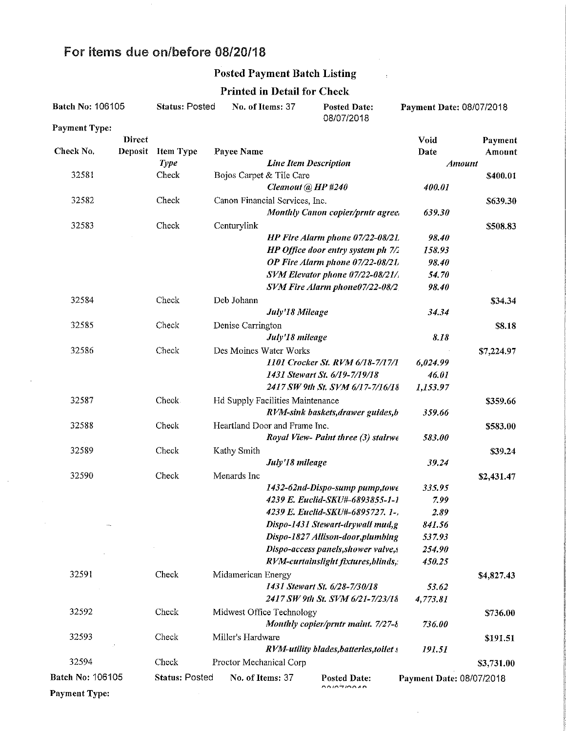### For items due on/before 08/20/18

 $\hat{\boldsymbol{\beta}}$ 

 $\mathcal{A}^{\text{max}}$ 

#### Posted Payment Batch Listing

 $\sim 1$ 

Printed in Detail for Check

| Batch No: 106105     |         | <b>Status: Posted</b> |                                  | No. of Items: 37<br><b>Posted Date:</b><br>08/07/2018 |                                                                      | Payment Date: 08/07/2018 |            |
|----------------------|---------|-----------------------|----------------------------------|-------------------------------------------------------|----------------------------------------------------------------------|--------------------------|------------|
| <b>Payment Type:</b> |         |                       |                                  |                                                       |                                                                      |                          |            |
|                      | Direct  |                       |                                  |                                                       |                                                                      | Void                     | Payment    |
| Check No.            | Deposit | <b>Item Type</b>      | Payee Name                       |                                                       |                                                                      | Date                     | Amount     |
|                      |         | <b>Type</b>           |                                  | <b>Line Item Description</b>                          |                                                                      | <b>Amount</b>            |            |
| 32581                |         | Check                 | Bojos Carpet & Tile Care         |                                                       |                                                                      |                          | \$400.01   |
|                      |         |                       |                                  | Cleanout @ HP #240                                    |                                                                      | 400.01                   |            |
| 32582                |         | Check                 | Canon Financial Services, Inc.   |                                                       |                                                                      |                          | \$639.30   |
|                      |         |                       |                                  |                                                       | <b>Monthly Canon copier/prntr agree.</b>                             | 639.30                   |            |
| 32583                |         | Check                 | Centurylink                      |                                                       |                                                                      |                          | \$508.83   |
|                      |         |                       |                                  |                                                       | HP Fire Alarm phone 07/22-08/21.                                     | 98.40                    |            |
|                      |         |                       |                                  |                                                       | HP Office door entry system ph 7/2                                   | 158.93                   |            |
|                      |         |                       |                                  |                                                       | OP Fire Alarm phone 07/22-08/21,<br>SVM Elevator phone 07/22-08/21/. | 98.40<br>54.70           |            |
|                      |         |                       |                                  |                                                       | SVM Fire Alarm phone07/22-08/2.                                      | 98.40                    |            |
| 32584                |         | Check                 | Deb Johann                       |                                                       |                                                                      |                          |            |
|                      |         |                       |                                  | July'18 Mileage                                       |                                                                      | 34.34                    | \$34.34    |
| 32585                |         |                       |                                  |                                                       |                                                                      |                          |            |
|                      |         | Check                 | Denise Carrington                | July'18 mileage                                       |                                                                      | 8.18                     | \$8.18     |
| 32586                |         |                       | Des Moines Water Works           |                                                       |                                                                      |                          |            |
|                      |         | Check                 |                                  |                                                       | 1101 Crocker St. RVM 6/18-7/17/1                                     | 6,024.99                 | \$7,224.97 |
|                      |         |                       |                                  |                                                       | 1431 Stewart St. 6/19-7/19/18                                        | 46.01                    |            |
|                      |         |                       |                                  |                                                       | 2417 SW 9th St. SVM 6/17-7/16/18                                     | 1,153.97                 |            |
| 32587                |         | Check.                | Hd Supply Facilities Maintenance |                                                       |                                                                      |                          | \$359.66   |
|                      |         |                       |                                  |                                                       | RVM-sink baskets, drawer guides, b                                   | 359.66                   |            |
| 32588                |         | Check                 | Heartland Door and Frame Inc.    |                                                       |                                                                      |                          | \$583.00   |
|                      |         |                       |                                  |                                                       | Royal View- Paint three (3) stairwe                                  | 583.00                   |            |
| 32589                |         | Check                 | Kathy Smith                      |                                                       |                                                                      |                          | \$39.24    |
|                      |         |                       |                                  | July'18 mileage                                       |                                                                      | 39.24                    |            |
| 32590                |         | Check                 | Menards Inc                      |                                                       |                                                                      |                          | \$2,431.47 |
|                      |         |                       |                                  |                                                       | 1432-62nd-Dispo-sump pump,towe                                       | 335.95                   |            |
|                      |         |                       |                                  |                                                       | 4239 E. Euclid-SKU#-6893855-1-1                                      | 7.99                     |            |
|                      |         |                       |                                  |                                                       | 4239 E. Euclid-SKU#-6895727. 1-,                                     | 2.89                     |            |
|                      |         |                       |                                  |                                                       | Dispo-1431 Stewart-drywall mud,g                                     | 841.56                   |            |
|                      |         |                       |                                  |                                                       | Dispo-1827 Allison-door, plumbing                                    | 537.93                   |            |
|                      |         |                       |                                  |                                                       | Dispo-access panels, shower valve, s                                 | 254.90                   |            |
|                      |         |                       |                                  |                                                       | RVM-curtainslight fixtures, blinds,:                                 | 450.25                   |            |
| 32591                |         | Check                 | Midamerican Energy               |                                                       |                                                                      |                          | \$4,827.43 |
|                      |         |                       |                                  |                                                       | 1431 Stewart St. 6/28-7/30/18                                        | 53.62                    |            |
|                      |         |                       |                                  |                                                       | 2417 SW 9th St. SVM 6/21-7/23/18                                     | 4,773.81                 |            |
| 32592                |         | Check                 | Midwest Office Technology        |                                                       |                                                                      |                          | \$736.00   |
|                      |         |                       |                                  |                                                       | Monthly copier/prntr maint. 7/27-8                                   | 736.00                   |            |
| 32593                |         | Check                 | Miller's Hardware                |                                                       |                                                                      |                          | \$191.51   |
|                      |         |                       |                                  |                                                       | RVM-utility blades, batteries, toilet s                              | 191.51                   |            |
| 32594                |         | Check                 | Proctor Mechanical Corp          |                                                       |                                                                      |                          | \$3,731.00 |
| Batch No: 106105     |         | Status: Posted        | No. of Items: 37                 |                                                       | <b>Posted Date:</b>                                                  | Payment Date: 08/07/2018 |            |
| <b>Payment Type:</b> |         |                       |                                  |                                                       | no intinozo                                                          |                          |            |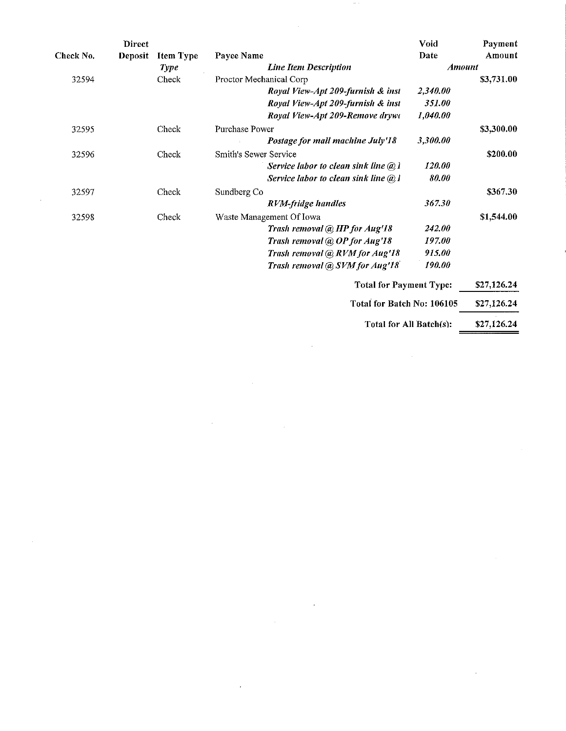|           | Direct  |                  |                         |                                        | Void          | Payment     |
|-----------|---------|------------------|-------------------------|----------------------------------------|---------------|-------------|
| Check No. | Deposit | <b>Item Type</b> | Payee Name              |                                        | Date          | Amount      |
|           |         | <b>Type</b>      |                         | <b>Line Item Description</b>           | <b>Amount</b> |             |
| 32594     |         | Check            | Proctor Mechanical Corp |                                        |               | \$3,731.00  |
|           |         |                  |                         | Royal View-Apt 209-furnish & inst      | 2,340.00      |             |
|           |         |                  |                         | Royal View-Apt 209-furnish & inst      | 351.00        |             |
|           |         |                  |                         | Royal View-Apt 209-Remove drywt        | 1,040.00      |             |
| 32595     |         | Check            | Purchase Power          |                                        |               | \$3,300.00  |
|           |         |                  |                         | Postage for mail machine July'18       | 3,300.00      |             |
| 32596     |         | Check            | Smith's Sewer Service   |                                        |               | \$200.00    |
|           |         |                  |                         | Service labor to clean sink line $@$ l | 120.00        |             |
|           |         |                  |                         | Service labor to clean sink line @ 1   | 80.00         |             |
| 32597     |         | Check            | Sundberg Co             |                                        |               | \$367.30    |
|           |         |                  |                         | RVM-fridge handles                     | 367.30        |             |
| 32598     |         | Check            |                         | Waste Management Of Iowa               |               | \$1,544.00  |
|           |         |                  |                         | Trash removal @ HP for Aug'18          | 242.00        |             |
|           |         |                  |                         | Trash removal @ OP for Aug'18          | 197.00        |             |
|           |         |                  |                         | Trash removal @ RVM for Aug'18         | 915.00        |             |
|           |         |                  |                         | Trash removal @ SVM for Aug'18         | 190.00        |             |
|           |         |                  |                         | <b>Total for Payment Type:</b>         |               | \$27,126.24 |
|           |         |                  |                         | Total for Batch No: 106105             |               | \$27,126.24 |
|           |         |                  |                         |                                        |               |             |

 $\bar{\bar{z}}$ 

 $\sim$   $\sim$ 

 $\ddot{\phantom{0}}$ 

 $\bar{z}$ 

Total for All Batch(s): \$27,126.24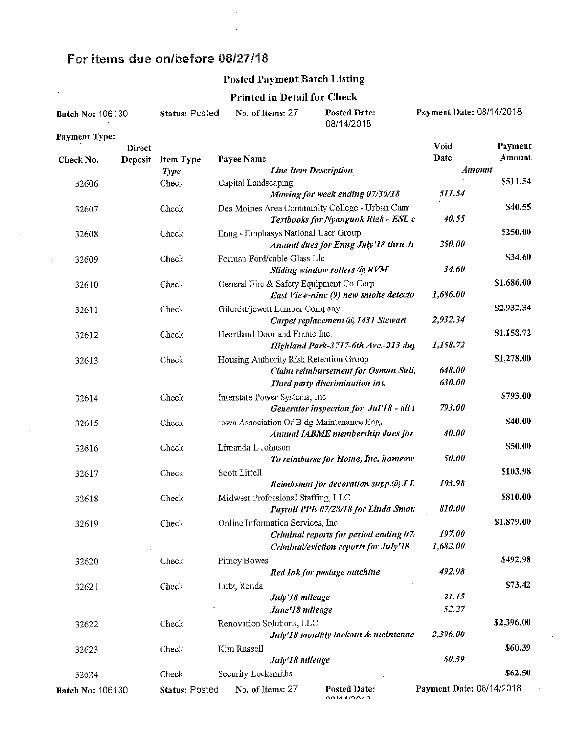# For items due on/before 08/27/18

 $\bar{\alpha}$ 

 $\frac{1}{2}$ 

# Posted Payment Batch Listing

#### Printed in Detail for Check

| Batch No: 106130 |               | <b>Status: Posted</b> | No. of Items: 27                    |                              | <b>Posted Date:</b><br>08/14/2018             | Payment Date: 08/14/2018 |            |
|------------------|---------------|-----------------------|-------------------------------------|------------------------------|-----------------------------------------------|--------------------------|------------|
| Payment Type:    | <b>Direct</b> |                       |                                     |                              |                                               | Void                     | Payment    |
| Check No.        | Deposit       | <b>Item Type</b>      | Payee Name                          |                              |                                               | Date                     | Amount     |
|                  |               | <b>Type</b>           |                                     | <b>Line Item Description</b> |                                               | Amount                   |            |
| 32606            |               | Check                 | Capital Landscaping                 |                              |                                               |                          | \$511.54   |
|                  |               |                       |                                     |                              | Mowing for week ending 07/30/18               | 511.54                   |            |
| 32607            |               | Check                 |                                     |                              | Des Moines Area Community College - Urban Cam |                          | \$40.55    |
|                  |               |                       |                                     |                              | Textbooks for Nyanguok Riek - ESL c           | 40.55                    |            |
| 32608            |               | Check                 | Enug - Emphasys National User Group |                              |                                               |                          | \$250.00   |
|                  |               |                       |                                     |                              | Annual dues for Enug July'18 thru Ju          | 250.00                   |            |
| 32609            |               | Check                 | Forman Förd/cable Glass Llc         |                              |                                               |                          | \$34.60    |
|                  |               |                       |                                     |                              | Sliding window rollers @ RVM                  | 34.60                    |            |
| 32610            |               | Check                 |                                     |                              | General Fire & Safety Equipment Co Corp       |                          | \$1,686.00 |
|                  |               |                       |                                     |                              | East View-nine (9) new smoke detecto          | 1,686.00                 |            |
| 32611            |               | Check                 | Gilcrest/jewett Lumber Company      |                              |                                               |                          | \$2,932.34 |
|                  |               |                       |                                     |                              | Carpet replacement @ 1431 Stewart             | 2,932.34                 |            |
| 32612            |               | Check                 | Heartland Door and Frame Inc.       |                              |                                               |                          | \$1,158.72 |
|                  |               |                       |                                     |                              | Highland Park-3717-6th Ave.-213 duj           | 1,158.72                 |            |
| 32613            |               | Check                 |                                     |                              | Housing Authority Risk Retention Group        |                          | \$1,278.00 |
|                  |               |                       |                                     |                              | Claim reimbursement for Osman Suli,           | 648.00                   |            |
|                  |               |                       |                                     |                              | Third party discrimination ins.               | 630.00                   |            |
| 32614            |               | Check                 | Interstate Power Systems, Inc       |                              |                                               |                          | \$793.00   |
|                  |               |                       |                                     |                              | Generator inspection for Jul'18 - all 1       | 793.00                   |            |
| 32615            |               | Check                 |                                     |                              | Iowa Association Of Bldg Maintenance Eng.     |                          | \$40.00    |
|                  |               |                       |                                     |                              | Annual IABME membership dues for              | 40.00                    |            |
| 32616            |               | Check                 | Limanda L Johnson                   |                              |                                               |                          | \$50.00    |
|                  |               |                       |                                     |                              | To reimburse for Home, Inc. homeow            | 50.00                    |            |
| 32617            |               | Check                 | Scott Littell                       |                              |                                               |                          | \$103.98   |
|                  |               |                       |                                     |                              | Reimbsmnt for decoration supp. $@JL$          | 103.98                   |            |
| 32618            |               | Check                 | Midwest Professional Staffing, LLC  |                              |                                               |                          | \$810.00   |
|                  |               |                       |                                     |                              | Payroll PPE 07/28/18 for Linda Smott          | 810.00                   |            |
| 32619            |               | Check                 | Online Information Services, Inc.   |                              |                                               |                          | \$1,879.00 |
|                  |               |                       |                                     |                              | Criminal reports for period ending 07,        | 197.00                   |            |
|                  |               |                       |                                     |                              | Criminal/eviction reports for July'18         | 1,682.00                 |            |
| 32620            |               | Check                 | Pitney Bowes                        |                              |                                               |                          | \$492.98   |
|                  |               |                       |                                     |                              | Red Ink for postage machine                   | 492.98                   |            |
| 32621            |               | Check                 | Lutz, Renda                         |                              |                                               |                          | \$73.42    |
|                  |               |                       |                                     | July'18 mileage              |                                               | 21.15                    |            |
|                  |               |                       |                                     | June'18 mileage              |                                               | 52.27                    |            |
| 32622            |               | Check                 | Renovation Solutions, LLC           |                              |                                               |                          | \$2,396.00 |
|                  |               |                       |                                     |                              | July'18 monthly lockout & maintenac           | 2,396.00                 |            |
| 32623            |               | Check                 | Kim Russell                         |                              |                                               |                          | \$60.39    |
|                  |               |                       |                                     | July'18 mileage              |                                               | 60.39                    |            |
| 32624            |               | Check                 | Security Locksmiths                 |                              |                                               |                          | \$62.50    |
| Batch No: 106130 |               | <b>Status: Posted</b> | No. of Items: 27                    |                              | <b>Posted Date:</b>                           | Payment Date: 08/14/2018 |            |